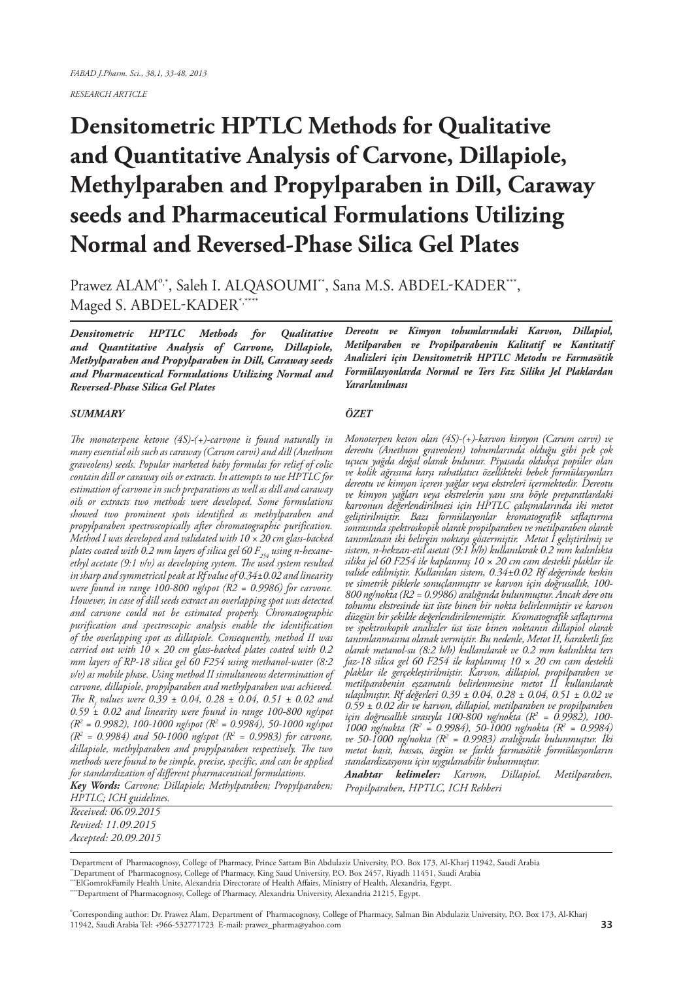*RESEARCH ARTICLE*

# **Densitometric HPTLC Methods for Qualitative and Quantitative Analysis of Carvone, Dillapiole, Methylparaben and Propylparaben in Dill, Caraway seeds and Pharmaceutical Formulations Utilizing Normal and Reversed-Phase Silica Gel Plates**

Prawez ALAM<sup>o,\*</sup>, Saleh I. ALQASOUMI<sup>\*\*</sup>, Sana M.S. ABDEL-KADER<sup>\*\*\*</sup>, Maged S. ABDEL-KADER\*,\*\*\*\*

*Densitometric HPTLC Methods for Qualitative and Quantitative Analysis of Carvone, Dillapiole, Methylparaben and Propylparaben in Dill, Caraway seeds and Pharmaceutical Formulations Utilizing Normal and Reversed-Phase Silica Gel Plates*

#### *SUMMARY*

*The monoterpene ketone (4S)-(+)-carvone is found naturally in many essential oils such as caraway (Carum carvi) and dill (Anethum graveolens) seeds. Popular marketed baby formulas for relief of colic contain dill or caraway oils or extracts. In attempts to use HPTLC for estimation of carvone in such preparations as well as dill and caraway oils or extracts two methods were developed. Some formulations showed two prominent spots identified as methylparaben and propylparaben spectroscopically after chromatographic purification. Method I was developed and validated with 10 × 20 cm glass-backed*  plates coated with 0.2 mm layers of silica gel 60 F<sub>254</sub> using n-hexane*ethyl acetate (9:1 v/v) as developing system. The used system resulted in sharp and symmetrical peak at Rf value of 0.34±0.02 and linearity were found in range 100-800 ng/spot (R2 = 0.9986) for carvone. However, in case of dill seeds extract an overlapping spot was detected and carvone could not be estimated properly. Chromatographic purification and spectroscopic analysis enable the identification of the overlapping spot as dillapiole. Consequently, method II was carried out with 10 × 20 cm glass-backed plates coated with 0.2 mm layers of RP-18 silica gel 60 F254 using methanol-water (8:2 v/v) as mobile phase. Using method II simultaneous determination of carvone, dillapiole, propylparaben and methylparaben was achieved. The Rf values were 0.39 ± 0.04, 0.28 ± 0.04, 0.51 ± 0.02 and 0.59 ± 0.02 and linearity were found in range 100-800 ng/spot (R2 = 0.9982), 100-1000 ng/spot (R2 = 0.9984), 50-1000 ng/spot (R2 = 0.9984) and 50-1000 ng/spot (R2 = 0.9983) for carvone, dillapiole, methylparaben and propylparaben respectively. The two methods were found to be simple, precise, specific, and can be applied for standardization of different pharmaceutical formulations.*

*Key Words: Carvone; Dillapiole; Methylparaben; Propylparaben; HPTLC; ICH guidelines.*

*Dereotu ve Kimyon tohumlarındaki Karvon, Dillapiol, Metilparaben ve Propilparabenin Kalitatif ve Kantitatif Analizleri için Densitometrik HPTLC Metodu ve Farmasötik Formülasyonlarda Normal ve Ters Faz Silika Jel Plaklardan Yararlanılması*

#### *ÖZET*

*Monoterpen keton olan (4S)-(+)-karvon kimyon (Carum carvi) ve dereotu (Anethum graveolens) tohumlarında olduğu gibi pek çok uçucu yağda doğal olarak bulunur. Piyasada oldukça popüler olan ve kolik ağrısına karşı rahatlatıcı özellikteki bebek formülasyonları dereotu ve kimyon içeren yağlar veya ekstreleri içermektedir. Dereotu ve kimyon yağları veya ekstrelerin yanı sıra böyle preparatlardaki karvonun değerlendirilmesi için HPTLC çalışmalarında iki metot geliştirilmiştir. Bazı formülasyonlar kromatografik saflaştırma sonrasında spektroskopik olarak propilparaben ve metilparaben olarak tanımlanan iki belirgin noktayı göstermiştir. Metot I geliştirilmiş ve sistem, n-hekzan-etil asetat (9:1 h/h) kullanılarak 0.2 mm kalınlıkta silika jel 60 F254 ile kaplanmış 10 × 20 cm cam destekli plaklar ile valide edilmiştir. Kullanılan sistem, 0.34±0.02 Rf değerinde keskin ve simetrik piklerle sonuçlanmıştır ve karvon için doğrusallık, 100- 800 ng/nokta (R2 = 0.9986) aralığında bulunmuştur. Ancak dere otu tohumu ekstresinde üst üste binen bir nokta belirlenmiştir ve karvon düzgün bir şekilde değerlendirilememiştir. Kromatografik saflaştırma ve spektroskopik analizler üst üste binen noktanın dillapiol olarak tanımlanmasına olanak vermiştir. Bu nedenle, Metot II, haraketli faz olarak metanol-su (8:2 h/h) kullanılarak ve 0.2 mm kalınlıkta ters faz-18 silica gel 60 F254 ile kaplanmış 10 × 20 cm cam destekli plaklar ile gerçekleştirilmiştir. Karvon, dillapiol, propilparaben ve metilparabenin eşzamanlı belirlenmesine metot II kullanılarak ulaşılmıştır. Rf değerleri 0.39 ± 0.04, 0.28 ± 0.04, 0.51 ± 0.02 ve 0.59 ± 0.02 dir ve karvon, dillapiol, metilparaben ve propilparaben için doğrusallık sırasıyla 100-800 ng/nokta (R2 = 0.9982), 100- 1000 ng/nokta (R2 = 0.9984), 50-1000 ng/nokta (R2 = 0.9984) ve 50-1000 ng/nokta (R2 = 0.9983) aralığında bulunmuştur. İki metot basit, hassas, özgün ve farklı farmasötik formülasyonların standardizasyonu için uygulanabilir bulunmuştur.*

*Anahtar kelimeler: Karvon, Dillapiol, Metilparaben, Propilparaben, HPTLC, ICH Rehberi*

*Received: 06.09.2015 Revised: 11.09.2015 Accepted: 20.09.2015*

\* Department of Pharmacognosy, College of Pharmacy, Prince Sattam Bin Abdulaziz University, P.O. Box 173, Al-Kharj 11942, Saudi Arabia

\*\*Department of Pharmacognosy, College of Pharmacy, King Saud University, P.O. Box 2457, Riyadh 11451, Saudi Arabia \*\*\*ElGomrokFamily Health Unite, Alexandria Directorate of Health Affairs, Ministry of Health, Alexandria, Egypt.

\*\*\*\*Department of Pharmacognosy, College of Pharmacy, Alexandria University, Alexandria 21215, Egypt.

o Corresponding author: Dr. Prawez Alam, Department of Pharmacognosy, College of Pharmacy, Salman Bin Abdulaziz University, P.O. Box 173, Al-Kharj 11942, Saudi Arabia Tel: +966-532771723 E-mail: prawez\_pharma@yahoo.com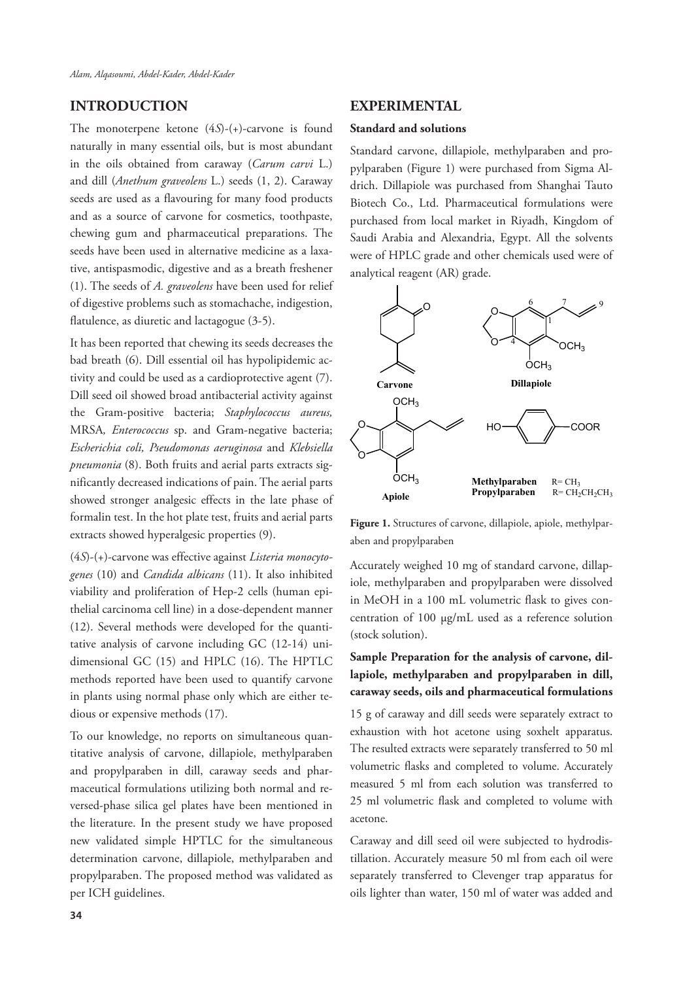# **INTRODUCTION**

The monoterpene ketone (4*S*)-(+)-carvone is found naturally in many essential oils, but is most abundant in the oils obtained from caraway (*Carum carvi* L.) and dill (*Anethum graveolens* L.) seeds (1, 2). Caraway seeds are used as a flavouring for many food products and as a source of carvone for cosmetics, toothpaste, chewing gum and pharmaceutical preparations. The seeds have been used in alternative medicine as a laxative, antispasmodic, digestive and as a breath freshener (1). The seeds of *A. graveolens* have been used for relief of digestive problems such as stomachache, indigestion, flatulence, as diuretic and lactagogue (3-5).

It has been reported that chewing its seeds decreases the bad breath (6). Dill essential oil has hypolipidemic activity and could be used as a cardioprotective agent (7). Dill seed oil showed broad antibacterial activity against the Gram-positive bacteria; *Staphylococcus aureus,*  MRSA*, Enterococcus* sp. and Gram-negative bacteria; *Escherichia coli, Pseudomonas aeruginosa* and *Klebsiella pneumonia* (8). Both fruits and aerial parts extracts significantly decreased indications of pain. The aerial parts showed stronger analgesic effects in the late phase of formalin test. In the hot plate test, fruits and aerial parts extracts showed hyperalgesic properties (9).

(4*S*)-(+)-carvone was effective against *Listeria monocytogenes* (10) and *Candida albicans* (11). It also inhibited viability and proliferation of Hep-2 cells (human epithelial carcinoma cell line) in a dose-dependent manner (12). Several methods were developed for the quantitative analysis of carvone including GC (12-14) unidimensional GC (15) and HPLC (16). The HPTLC methods reported have been used to quantify carvone in plants using normal phase only which are either tedious or expensive methods (17).

To our knowledge, no reports on simultaneous quantitative analysis of carvone, dillapiole, methylparaben and propylparaben in dill, caraway seeds and pharmaceutical formulations utilizing both normal and reversed-phase silica gel plates have been mentioned in the literature. In the present study we have proposed new validated simple HPTLC for the simultaneous determination carvone, dillapiole, methylparaben and propylparaben. The proposed method was validated as per ICH guidelines.

## **EXPERIMENTAL**

#### **Standard and solutions**

Standard carvone, dillapiole, methylparaben and propylparaben (Figure 1) were purchased from Sigma Aldrich. Dillapiole was purchased from Shanghai Tauto Biotech Co., Ltd. Pharmaceutical formulations were purchased from local market in Riyadh, Kingdom of Saudi Arabia and Alexandria, Egypt. All the solvents were of HPLC grade and other chemicals used were of analytical reagent (AR) grade.



**Figure 1.** Structures of carvone, dillapiole, apiole, methylparaben and propylparaben

Accurately weighed 10 mg of standard carvone, dillapiole, methylparaben and propylparaben were dissolved in MeOH in a 100 mL volumetric flask to gives concentration of 100 μg/mL used as a reference solution (stock solution).

# **Sample Preparation for the analysis of carvone, dillapiole, methylparaben and propylparaben in dill, caraway seeds, oils and pharmaceutical formulations**

15 g of caraway and dill seeds were separately extract to exhaustion with hot acetone using soxhelt apparatus. The resulted extracts were separately transferred to 50 ml volumetric flasks and completed to volume. Accurately measured 5 ml from each solution was transferred to 25 ml volumetric flask and completed to volume with acetone.

Caraway and dill seed oil were subjected to hydrodistillation. Accurately measure 50 ml from each oil were separately transferred to Clevenger trap apparatus for oils lighter than water, 150 ml of water was added and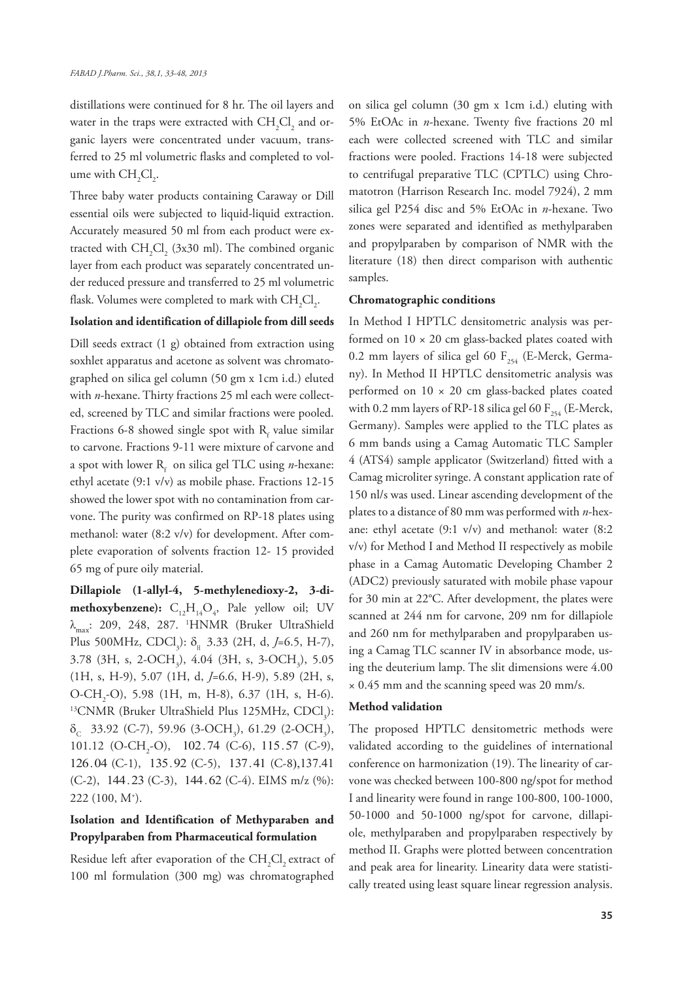distillations were continued for 8 hr. The oil layers and water in the traps were extracted with  $\mathrm{CH_2Cl}_2$  and organic layers were concentrated under vacuum, transferred to 25 ml volumetric flasks and completed to volume with  $\mathrm{CH}_2\mathrm{Cl}_2$ .

Three baby water products containing Caraway or Dill essential oils were subjected to liquid-liquid extraction. Accurately measured 50 ml from each product were extracted with  $CH_2Cl_2$  (3x30 ml). The combined organic layer from each product was separately concentrated under reduced pressure and transferred to 25 ml volumetric flask. Volumes were completed to mark with  $\mathrm{CH}_{2}\mathrm{Cl}_{2}$ .

#### **Isolation and identification of dillapiole from dill seeds**

Dill seeds extract (1 g) obtained from extraction using soxhlet apparatus and acetone as solvent was chromatographed on silica gel column (50 gm x 1cm i.d.) eluted with *n*-hexane. Thirty fractions 25 ml each were collected, screened by TLC and similar fractions were pooled. Fractions 6-8 showed single spot with  $R_f$  value similar to carvone. Fractions 9-11 were mixture of carvone and a spot with lower R<sub>f</sub> on silica gel TLC using *n*-hexane: ethyl acetate (9:1 v/v) as mobile phase. Fractions 12-15 showed the lower spot with no contamination from carvone. The purity was confirmed on RP-18 plates using methanol: water (8:2 v/v) for development. After complete evaporation of solvents fraction 12- 15 provided 65 mg of pure oily material.

**Dillapiole (1-allyl-4, 5-methylenedioxy-2, 3-dimethoxybenzene):**  $C_{12}H_{14}O_{4}$ , Pale yellow oil; UV  $\lambda_{\text{max}}$ : 209, 248, 287. 'HNMR (Bruker UltraShield Plus 500MHz, CDCl<sub>3</sub>):  $\delta_{\text{H}}$  3.33 (2H, d, *J*=6.5, H-7), 3.78 (3H, s, 2-OCH<sub>3</sub>), 4.04 (3H, s, 3-OCH<sub>3</sub>), 5.05 (1H, s, H-9), 5.07 (1H, d, *J*=6.6, H-9), 5.89 (2H, s, O-CH<sub>2</sub>-O), 5.98 (1H, m, H-8), 6.37 (1H, s, H-6). <sup>13</sup>CNMR (Bruker UltraShield Plus 125MHz, CDCl<sub>3</sub>):  $\delta_c$  33.92 (C-7), 59.96 (3-OCH<sub>3</sub>), 61.29 (2-OCH<sub>3</sub>), 101.12 (O-CH<sub>2</sub>-O), 102.74 (C-6), 115.57 (C-9), 126.04 (C-1), 135.92 (C-5), 137.41 (C-8),137.41  $(C-2)$ , 144.23  $(C-3)$ , 144.62  $(C-4)$ . EIMS m/z  $(\%)$ : 222 (100, M+ ).

## **Isolation and Identification of Methyparaben and Propylparaben from Pharmaceutical formulation**

Residue left after evaporation of the  $\mathrm{CH}_{_2}\mathrm{Cl}_{_2}$  extract of 100 ml formulation (300 mg) was chromatographed

on silica gel column (30 gm x 1cm i.d.) eluting with 5% EtOAc in *n*-hexane. Twenty five fractions 20 ml each were collected screened with TLC and similar fractions were pooled. Fractions 14-18 were subjected to centrifugal preparative TLC (CPTLC) using Chromatotron (Harrison Research Inc. model 7924), 2 mm silica gel P254 disc and 5% EtOAc in *n*-hexane. Two zones were separated and identified as methylparaben and propylparaben by comparison of NMR with the literature (18) then direct comparison with authentic samples.

#### **Chromatographic conditions**

In Method I HPTLC densitometric analysis was performed on  $10 \times 20$  cm glass-backed plates coated with 0.2 mm layers of silica gel 60  $F_{254}$  (E-Merck, Germany). In Method II HPTLC densitometric analysis was performed on  $10 \times 20$  cm glass-backed plates coated with 0.2 mm layers of RP-18 silica gel 60  $F_{254}$  (E-Merck, Germany). Samples were applied to the TLC plates as 6 mm bands using a Camag Automatic TLC Sampler 4 (ATS4) sample applicator (Switzerland) fitted with a Camag microliter syringe. A constant application rate of 150 nl/s was used. Linear ascending development of the plates to a distance of 80 mm was performed with *n*-hexane: ethyl acetate (9:1 v/v) and methanol: water (8:2 v/v) for Method I and Method II respectively as mobile phase in a Camag Automatic Developing Chamber 2 (ADC2) previously saturated with mobile phase vapour for 30 min at 22°C. After development, the plates were scanned at 244 nm for carvone, 209 nm for dillapiole and 260 nm for methylparaben and propylparaben using a Camag TLC scanner IV in absorbance mode, using the deuterium lamp. The slit dimensions were 4.00 × 0.45 mm and the scanning speed was 20 mm/s.

#### **Method validation**

The proposed HPTLC densitometric methods were validated according to the guidelines of international conference on harmonization (19). The linearity of carvone was checked between 100-800 ng/spot for method I and linearity were found in range 100-800, 100-1000, 50-1000 and 50-1000 ng/spot for carvone, dillapiole, methylparaben and propylparaben respectively by method II. Graphs were plotted between concentration and peak area for linearity. Linearity data were statistically treated using least square linear regression analysis.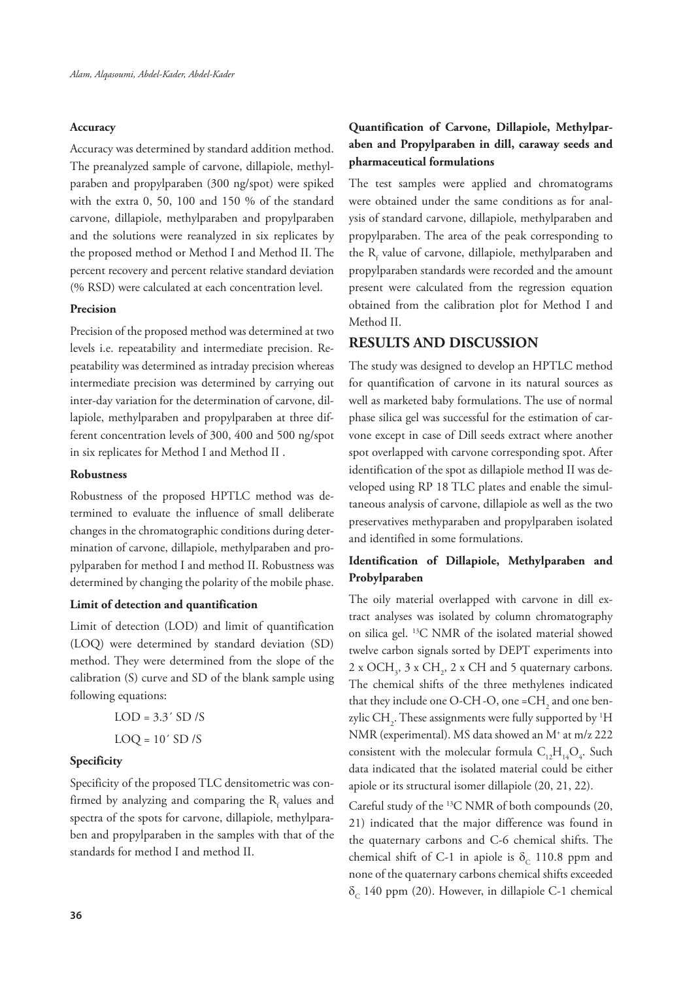#### **Accuracy**

Accuracy was determined by standard addition method. The preanalyzed sample of carvone, dillapiole, methylparaben and propylparaben (300 ng/spot) were spiked with the extra 0, 50, 100 and 150 % of the standard carvone, dillapiole, methylparaben and propylparaben and the solutions were reanalyzed in six replicates by the proposed method or Method I and Method II. The percent recovery and percent relative standard deviation (% RSD) were calculated at each concentration level.

#### **Precision**

Precision of the proposed method was determined at two levels i.e. repeatability and intermediate precision. Repeatability was determined as intraday precision whereas intermediate precision was determined by carrying out inter-day variation for the determination of carvone, dillapiole, methylparaben and propylparaben at three different concentration levels of 300, 400 and 500 ng/spot in six replicates for Method I and Method II .

#### **Robustness**

Robustness of the proposed HPTLC method was determined to evaluate the influence of small deliberate changes in the chromatographic conditions during determination of carvone, dillapiole, methylparaben and propylparaben for method I and method II. Robustness was determined by changing the polarity of the mobile phase.

#### **Limit of detection and quantification**

Limit of detection (LOD) and limit of quantification (LOQ) were determined by standard deviation (SD) method. They were determined from the slope of the calibration (S) curve and SD of the blank sample using following equations:

| $LOD = 3.3' SD/S$ |  |  |
|-------------------|--|--|
| $LOQ = 10' SD/S$  |  |  |

#### **Specificity**

Specificity of the proposed TLC densitometric was confirmed by analyzing and comparing the  $R_f$  values and spectra of the spots for carvone, dillapiole, methylparaben and propylparaben in the samples with that of the standards for method I and method II.

# **Quantification of Carvone, Dillapiole, Methylparaben and Propylparaben in dill, caraway seeds and pharmaceutical formulations**

The test samples were applied and chromatograms were obtained under the same conditions as for analysis of standard carvone, dillapiole, methylparaben and propylparaben. The area of the peak corresponding to the  $R_f$  value of carvone, dillapiole, methylparaben and propylparaben standards were recorded and the amount present were calculated from the regression equation obtained from the calibration plot for Method I and Method II.

### **RESULTS AND DISCUSSION**

The study was designed to develop an HPTLC method for quantification of carvone in its natural sources as well as marketed baby formulations. The use of normal phase silica gel was successful for the estimation of carvone except in case of Dill seeds extract where another spot overlapped with carvone corresponding spot. After identification of the spot as dillapiole method II was developed using RP 18 TLC plates and enable the simultaneous analysis of carvone, dillapiole as well as the two preservatives methyparaben and propylparaben isolated and identified in some formulations.

## **Identification of Dillapiole, Methylparaben and Probylparaben**

The oily material overlapped with carvone in dill extract analyses was isolated by column chromatography on silica gel. 13C NMR of the isolated material showed twelve carbon signals sorted by DEPT experiments into 2 x OCH<sub>3</sub>, 3 x CH<sub>2</sub>, 2 x CH and 5 quaternary carbons. The chemical shifts of the three methylenes indicated that they include one O-CH -O, one = $\mathrm{CH}_2$  and one benzylic  $\text{CH}_2$ . These assignments were fully supported by  $^1\text{H}$ NMR (experimental). MS data showed an M+ at m/z 222 consistent with the molecular formula  $C_{12}H_{14}O_4$ . Such data indicated that the isolated material could be either apiole or its structural isomer dillapiole (20, 21, 22).

Careful study of the 13C NMR of both compounds (20, 21) indicated that the major difference was found in the quaternary carbons and C-6 chemical shifts. The chemical shift of C-1 in apiole is  $\delta_c$  110.8 ppm and none of the quaternary carbons chemical shifts exceeded  $\delta_c$  140 ppm (20). However, in dillapiole C-1 chemical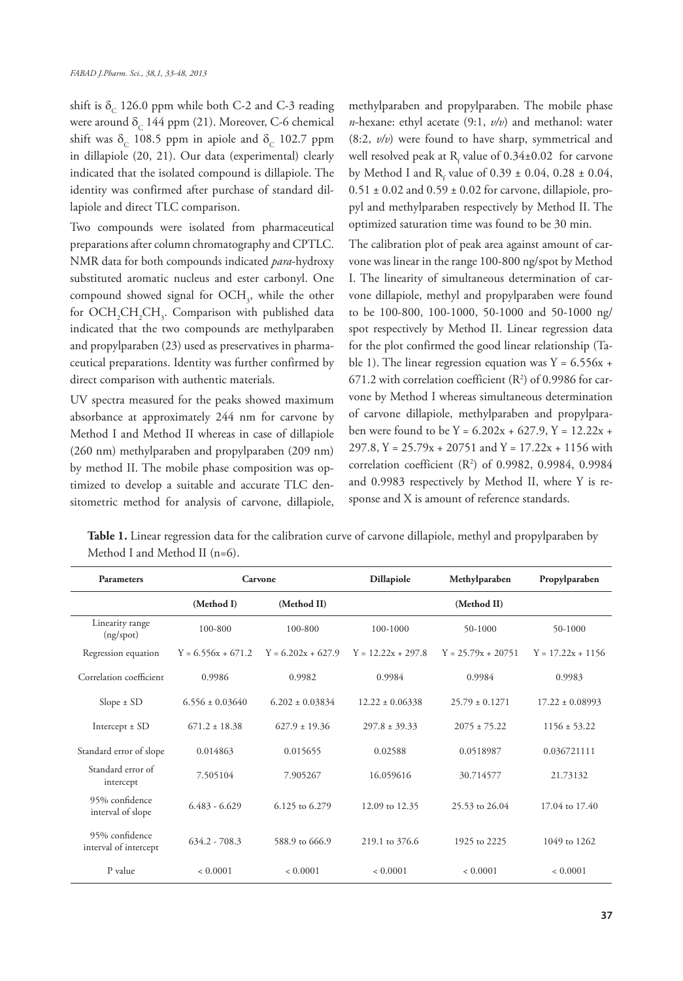shift is  $\delta_c$  126.0 ppm while both C-2 and C-3 reading were around  $\delta_c$  144 ppm (21). Moreover, C-6 chemical shift was  $\delta_c$  108.5 ppm in apiole and  $\delta_c$  102.7 ppm in dillapiole (20, 21). Our data (experimental) clearly indicated that the isolated compound is dillapiole. The identity was confirmed after purchase of standard dillapiole and direct TLC comparison.

Two compounds were isolated from pharmaceutical preparations after column chromatography and CPTLC. NMR data for both compounds indicated *para*-hydroxy substituted aromatic nucleus and ester carbonyl. One compound showed signal for  $OCH<sub>3</sub>$ , while the other for  $\mathrm{OCH}_{2}\mathrm{CH}_{2}\mathrm{CH}_{3}$ . Comparison with published data indicated that the two compounds are methylparaben and propylparaben (23) used as preservatives in pharmaceutical preparations. Identity was further confirmed by direct comparison with authentic materials.

UV spectra measured for the peaks showed maximum absorbance at approximately 244 nm for carvone by Method I and Method II whereas in case of dillapiole (260 nm) methylparaben and propylparaben (209 nm) by method II. The mobile phase composition was optimized to develop a suitable and accurate TLC densitometric method for analysis of carvone, dillapiole, methylparaben and propylparaben. The mobile phase *n*-hexane: ethyl acetate (9:1, *v/v*) and methanol: water (8:2, *v/v*) were found to have sharp, symmetrical and well resolved peak at  $R_f$  value of 0.34±0.02 for carvone by Method I and  $R_f$  value of 0.39  $\pm$  0.04, 0.28  $\pm$  0.04,  $0.51 \pm 0.02$  and  $0.59 \pm 0.02$  for carvone, dillapiole, propyl and methylparaben respectively by Method II. The optimized saturation time was found to be 30 min.

The calibration plot of peak area against amount of carvone was linear in the range 100-800 ng/spot by Method I. The linearity of simultaneous determination of carvone dillapiole, methyl and propylparaben were found to be 100-800, 100-1000, 50-1000 and 50-1000 ng/ spot respectively by Method II. Linear regression data for the plot confirmed the good linear relationship (Table 1). The linear regression equation was  $Y = 6.556x +$  $671.2$  with correlation coefficient ( $\mathbb{R}^2$ ) of 0.9986 for carvone by Method I whereas simultaneous determination of carvone dillapiole, methylparaben and propylparaben were found to be  $Y = 6.202x + 627.9$ ,  $Y = 12.22x + 627.9$ 297.8, Y =  $25.79x + 20751$  and Y =  $17.22x + 1156$  with correlation coefficient (R2 ) of 0.9982, 0.9984, 0.9984 and 0.9983 respectively by Method II, where Y is response and X is amount of reference standards.

|                                   | Table 1. Linear regression data for the calibration curve of carvone dillapiole, methyl and propylparaben by |  |
|-----------------------------------|--------------------------------------------------------------------------------------------------------------|--|
| Method I and Method II ( $n=6$ ). |                                                                                                              |  |

| <b>Parameters</b>                       | Carvone              |                      | Dillapiole           | Methylparaben        | Propylparaben       |
|-----------------------------------------|----------------------|----------------------|----------------------|----------------------|---------------------|
|                                         | (Method I)           | (Method II)          |                      | (Method II)          |                     |
| Linearity range<br>(ng/spot)            | 100-800              | 100-800              | $100 - 1000$         | 50-1000              | 50-1000             |
| Regression equation                     | $Y = 6.556x + 671.2$ | $Y = 6.202x + 627.9$ | $Y = 12.22x + 297.8$ | $Y = 25.79x + 20751$ | $Y = 17.22x + 1156$ |
| Correlation coefficient                 | 0.9986               | 0.9982               | 0.9984               | 0.9984               | 0.9983              |
| $Slope \pm SD$                          | $6.556 \pm 0.03640$  | $6.202 + 0.03834$    | $12.22 + 0.06338$    | $25.79 \pm 0.1271$   | $17.22 \pm 0.08993$ |
| Intercept $\pm$ SD                      | $671.2 + 18.38$      | $627.9 \pm 19.36$    | $297.8 \pm 39.33$    | $2075 \pm 75.22$     | $1156 \pm 53.22$    |
| Standard error of slope                 | 0.014863             | 0.015655             | 0.02588              | 0.0518987            | 0.036721111         |
| Standard error of<br>intercept          | 7.505104             | 7.905267             | 16.059616            | 30.714577            | 21.73132            |
| 95% confidence<br>interval of slope     | $6.483 - 6.629$      | 6.125 to 6.279       | 12.09 to 12.35       | 25.53 to 26.04       | 17.04 to 17.40      |
| 95% confidence<br>interval of intercept | $634.2 - 708.3$      | 588.9 to 666.9       | 219.1 to 376.6       | 1925 to 2225         | 1049 to 1262        |
| P value                                 | < 0.0001             | < 0.0001             | < 0.0001             | < 0.0001             | < 0.0001            |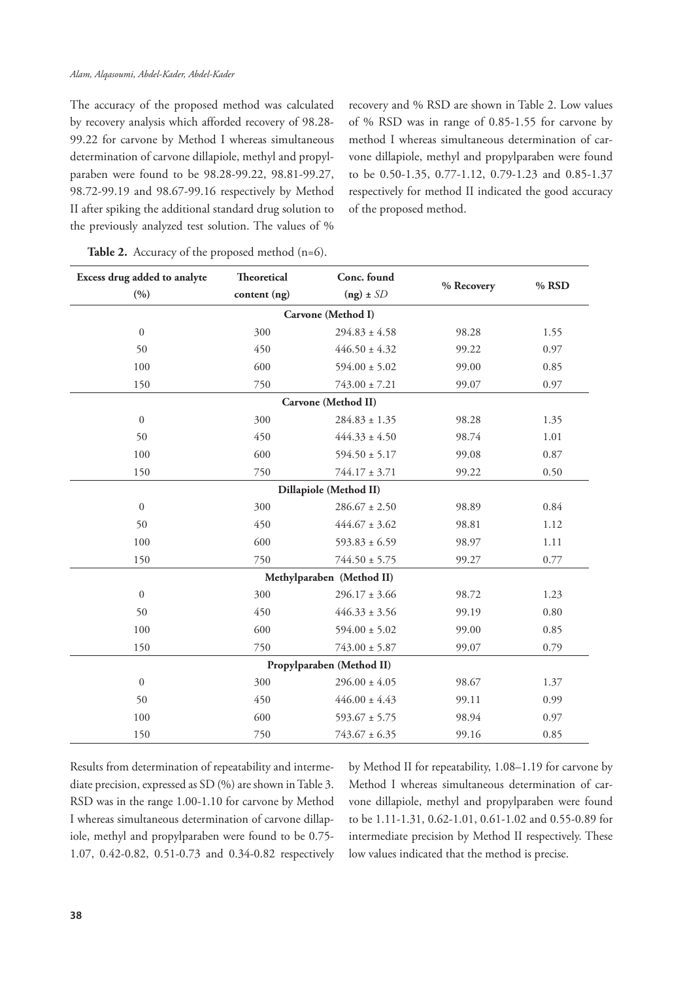The accuracy of the proposed method was calculated by recovery analysis which afforded recovery of 98.28- 99.22 for carvone by Method I whereas simultaneous determination of carvone dillapiole, methyl and propylparaben were found to be 98.28-99.22, 98.81-99.27, 98.72-99.19 and 98.67-99.16 respectively by Method II after spiking the additional standard drug solution to the previously analyzed test solution. The values of %

recovery and % RSD are shown in Table 2. Low values of % RSD was in range of 0.85-1.55 for carvone by method I whereas simultaneous determination of carvone dillapiole, methyl and propylparaben were found to be 0.50-1.35, 0.77-1.12, 0.79-1.23 and 0.85-1.37 respectively for method II indicated the good accuracy of the proposed method.

| Excess drug added to analyte<br>(9/0) | Theoretical<br>content (ng) | Conc. found<br>% Recovery<br>$(ng) \pm SD$ |       | % RSD |
|---------------------------------------|-----------------------------|--------------------------------------------|-------|-------|
|                                       |                             | Carvone (Method I)                         |       |       |
| $\boldsymbol{0}$                      | 300                         | $294.83 \pm 4.58$                          | 98.28 | 1.55  |
| 50                                    | 450                         | $446.50 \pm 4.32$                          | 99.22 | 0.97  |
| 100                                   | 600                         | $594.00 \pm 5.02$                          |       | 0.85  |
|                                       |                             |                                            | 99.00 |       |
| 150                                   | 750                         | $743.00 \pm 7.21$                          | 99.07 | 0.97  |
|                                       |                             | Carvone (Method II)                        |       |       |
| $\boldsymbol{0}$                      | 300                         | $284.83 \pm 1.35$                          | 98.28 | 1.35  |
| 50                                    | 450                         | $444.33 \pm 4.50$                          | 98.74 | 1.01  |
| 100                                   | 600                         | $594.50 \pm 5.17$                          | 99.08 | 0.87  |
| 150                                   | 750                         | $744.17 \pm 3.71$                          | 99.22 | 0.50  |
|                                       |                             | Dillapiole (Method II)                     |       |       |
| $\boldsymbol{0}$                      | 300                         | $286.67 \pm 2.50$                          | 98.89 | 0.84  |
| 50                                    | 450                         | $444.67 \pm 3.62$                          | 98.81 | 1.12  |
| 100                                   | 600                         | $593.83 \pm 6.59$                          | 98.97 | 1.11  |
| 150                                   | 750                         | $744.50 \pm 5.75$                          | 99.27 | 0.77  |
|                                       |                             | Methylparaben (Method II)                  |       |       |
| $\boldsymbol{0}$                      | 300                         | $296.17 \pm 3.66$                          | 98.72 | 1.23  |
| 50                                    | 450                         | $446.33 \pm 3.56$                          | 99.19 | 0.80  |
| 100                                   | 600                         | $594.00 \pm 5.02$                          | 99.00 | 0.85  |
| 150                                   | 750                         | $743.00 \pm 5.87$                          | 99.07 | 0.79  |
|                                       |                             | Propylparaben (Method II)                  |       |       |
| $\overline{0}$                        | 300                         | $296.00 \pm 4.05$                          | 98.67 | 1.37  |
| 50                                    | 450                         | $446.00 \pm 4.43$                          | 99.11 | 0.99  |
| 100                                   | 600                         | $593.67 \pm 5.75$                          | 98.94 | 0.97  |
| 150                                   | 750                         | $743.67 \pm 6.35$                          | 99.16 | 0.85  |

|  | Table 2. Accuracy of the proposed method $(n=6)$ . |  |  |  |  |
|--|----------------------------------------------------|--|--|--|--|
|--|----------------------------------------------------|--|--|--|--|

Results from determination of repeatability and intermediate precision, expressed as SD (%) are shown in Table 3. RSD was in the range 1.00-1.10 for carvone by Method I whereas simultaneous determination of carvone dillapiole, methyl and propylparaben were found to be 0.75- 1.07, 0.42-0.82, 0.51-0.73 and 0.34-0.82 respectively by Method II for repeatability, 1.08–1.19 for carvone by Method I whereas simultaneous determination of carvone dillapiole, methyl and propylparaben were found to be 1.11-1.31, 0.62-1.01, 0.61-1.02 and 0.55-0.89 for intermediate precision by Method II respectively. These low values indicated that the method is precise.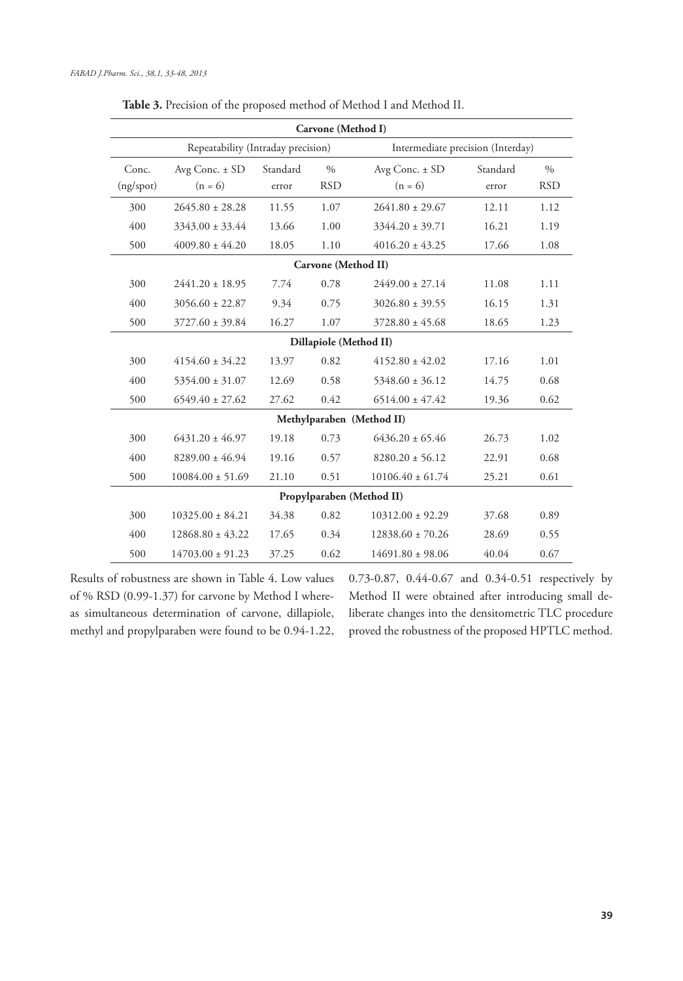| Carvone (Method I)     |                                    |          |                     |                                   |          |               |  |
|------------------------|------------------------------------|----------|---------------------|-----------------------------------|----------|---------------|--|
|                        | Repeatability (Intraday precision) |          |                     | Intermediate precision (Interday) |          |               |  |
| Conc.                  | Avg Conc. $\pm$ SD                 | Standard | $\%$                | Avg Conc. ± SD                    | Standard | $\frac{0}{0}$ |  |
| (ng/spot)              | $(n = 6)$                          | error    | <b>RSD</b>          | $(n = 6)$                         | error    | <b>RSD</b>    |  |
| 300                    | $2645.80 \pm 28.28$                | 11.55    | 1.07                | $2641.80 \pm 29.67$               | 12.11    | 1.12          |  |
| 400                    | $3343.00 \pm 33.44$                | 13.66    | 1.00                | $3344.20 \pm 39.71$               | 16.21    | 1.19          |  |
| 500                    | $4009.80 \pm 44.20$                | 18.05    | 1.10                | $4016.20 \pm 43.25$               | 17.66    | 1.08          |  |
|                        |                                    |          | Carvone (Method II) |                                   |          |               |  |
| 300                    | $2441.20 \pm 18.95$                | 7.74     | 0.78                | $2449.00 \pm 27.14$               | 11.08    | 1.11          |  |
| 400                    | $3056.60 \pm 22.87$                | 9.34     | 0.75                | $3026.80 \pm 39.55$               | 16.15    | 1.31          |  |
| 500                    | $3727.60 \pm 39.84$                | 16.27    | 1.07                | $3728.80 \pm 45.68$               | 18.65    | 1.23          |  |
| Dillapiole (Method II) |                                    |          |                     |                                   |          |               |  |
| 300                    | $4154.60 \pm 34.22$                | 13.97    | 0.82                | $4152.80 \pm 42.02$               | 17.16    | 1.01          |  |
| 400                    | $5354.00 \pm 31.07$                | 12.69    | 0.58                | $5348.60 \pm 36.12$               | 14.75    | 0.68          |  |
| 500                    | $6549.40 \pm 27.62$                | 27.62    | 0.42                | $6514.00 \pm 47.42$               | 19.36    | 0.62          |  |
|                        |                                    |          |                     | Methylparaben (Method II)         |          |               |  |
| 300                    | $6431.20 \pm 46.97$                | 19.18    | 0.73                | $6436.20 \pm 65.46$               | 26.73    | 1.02          |  |
| 400                    | $8289.00 \pm 46.94$                | 19.16    | 0.57                | $8280.20 \pm 56.12$               | 22.91    | 0.68          |  |
| 500                    | $10084.00 \pm 51.69$               | 21.10    | 0.51                | $10106.40 \pm 61.74$              | 25.21    | 0.61          |  |
|                        |                                    |          |                     | Propylparaben (Method II)         |          |               |  |
| 300                    | $10325.00 \pm 84.21$               | 34.38    | 0.82                | $10312.00 \pm 92.29$              | 37.68    | 0.89          |  |
| 400                    | $12868.80 \pm 43.22$               | 17.65    | 0.34                | $12838.60 \pm 70.26$              | 28.69    | 0.55          |  |
| 500                    | $14703.00 \pm 91.23$               | 37.25    | 0.62                | $14691.80 \pm 98.06$              | 40.04    | 0.67          |  |

Table 3. Precision of the proposed method of Method I and Method II.

Results of robustness are shown in Table 4. Low values of % RSD (0.99-1.37) for carvone by Method I whereas simultaneous determination of carvone, dillapiole, methyl and propylparaben were found to be 0.94-1.22, 0.73-0.87, 0.44-0.67 and 0.34-0.51 respectively by Method II were obtained after introducing small deliberate changes into the densitometric TLC procedure proved the robustness of the proposed HPTLC method.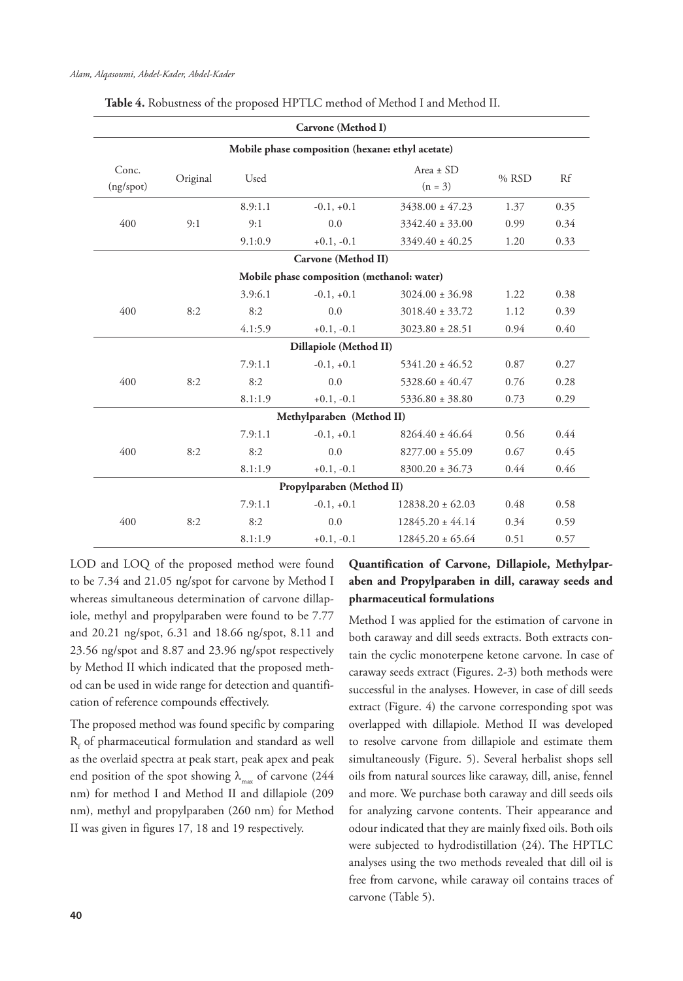| Carvone (Method I) |                                                  |         |                                            |                            |         |      |  |  |  |
|--------------------|--------------------------------------------------|---------|--------------------------------------------|----------------------------|---------|------|--|--|--|
|                    | Mobile phase composition (hexane: ethyl acetate) |         |                                            |                            |         |      |  |  |  |
| Conc.<br>(ng/spot) | Original                                         | Used    |                                            | Area $\pm$ SD<br>$(n = 3)$ | $%$ RSD | Rf   |  |  |  |
|                    |                                                  | 8.9:1.1 | $-0.1, +0.1$                               | $3438.00 \pm 47.23$        | 1.37    | 0.35 |  |  |  |
| 400                | 9:1                                              | 9:1     | 0.0                                        | $3342.40 \pm 33.00$        | 0.99    | 0.34 |  |  |  |
|                    |                                                  | 9.1:0.9 | $+0.1, -0.1$                               | $3349.40 \pm 40.25$        | 1.20    | 0.33 |  |  |  |
|                    |                                                  |         | Carvone (Method II)                        |                            |         |      |  |  |  |
|                    |                                                  |         | Mobile phase composition (methanol: water) |                            |         |      |  |  |  |
|                    |                                                  | 3.9:6.1 | $-0.1, +0.1$                               | $3024.00 \pm 36.98$        | 1.22    | 0.38 |  |  |  |
| 400                | 8:2                                              | 8:2     | 0.0                                        | $3018.40 \pm 33.72$        | 1.12    | 0.39 |  |  |  |
|                    |                                                  | 4.1:5.9 | $+0.1, -0.1$                               | $3023.80 \pm 28.51$        | 0.94    | 0.40 |  |  |  |
|                    |                                                  |         | Dillapiole (Method II)                     |                            |         |      |  |  |  |
|                    |                                                  | 7.9:1.1 | $-0.1, +0.1$                               | $5341.20 \pm 46.52$        | 0.87    | 0.27 |  |  |  |
| 400                | 8:2                                              | 8:2     | 0.0                                        | $5328.60 \pm 40.47$        | 0.76    | 0.28 |  |  |  |
|                    |                                                  | 8.1:1.9 | $+0.1, -0.1$                               | $5336.80 \pm 38.80$        | 0.73    | 0.29 |  |  |  |
|                    |                                                  |         | Methylparaben (Method II)                  |                            |         |      |  |  |  |
|                    |                                                  | 7.9:1.1 | $-0.1, +0.1$                               | $8264.40 \pm 46.64$        | 0.56    | 0.44 |  |  |  |
| 400                | 8:2                                              | 8:2     | 0.0                                        | $8277.00 \pm 55.09$        | 0.67    | 0.45 |  |  |  |
|                    |                                                  | 8.1:1.9 | $+0.1, -0.1$                               | $8300.20 \pm 36.73$        | 0.44    | 0.46 |  |  |  |
|                    |                                                  |         | Propylparaben (Method II)                  |                            |         |      |  |  |  |
|                    |                                                  | 7.9:1.1 | $-0.1, +0.1$                               | $12838.20 \pm 62.03$       | 0.48    | 0.58 |  |  |  |
| 400                | 8:2                                              | 8:2     | 0.0                                        | $12845.20 \pm 44.14$       | 0.34    | 0.59 |  |  |  |
|                    |                                                  | 8.1:1.9 | $+0.1, -0.1$                               | $12845.20 \pm 65.64$       | 0.51    | 0.57 |  |  |  |

**Table 4.** Robustness of the proposed HPTLC method of Method I and Method II.

LOD and LOQ of the proposed method were found to be 7.34 and 21.05 ng/spot for carvone by Method I whereas simultaneous determination of carvone dillapiole, methyl and propylparaben were found to be 7.77 and 20.21 ng/spot, 6.31 and 18.66 ng/spot, 8.11 and 23.56 ng/spot and 8.87 and 23.96 ng/spot respectively by Method II which indicated that the proposed method can be used in wide range for detection and quantification of reference compounds effectively.

The proposed method was found specific by comparing  $R_f$  of pharmaceutical formulation and standard as well as the overlaid spectra at peak start, peak apex and peak end position of the spot showing  $\lambda_{\text{max}}$  of carvone (244) nm) for method I and Method II and dillapiole (209 nm), methyl and propylparaben (260 nm) for Method II was given in figures 17, 18 and 19 respectively.

# **Quantification of Carvone, Dillapiole, Methylparaben and Propylparaben in dill, caraway seeds and pharmaceutical formulations**

Method I was applied for the estimation of carvone in both caraway and dill seeds extracts. Both extracts contain the cyclic monoterpene ketone carvone. In case of caraway seeds extract (Figures. 2-3) both methods were successful in the analyses. However, in case of dill seeds extract (Figure. 4) the carvone corresponding spot was overlapped with dillapiole. Method II was developed to resolve carvone from dillapiole and estimate them simultaneously (Figure. 5). Several herbalist shops sell oils from natural sources like caraway, dill, anise, fennel and more. We purchase both caraway and dill seeds oils for analyzing carvone contents. Their appearance and odour indicated that they are mainly fixed oils. Both oils were subjected to hydrodistillation (24). The HPTLC analyses using the two methods revealed that dill oil is free from carvone, while caraway oil contains traces of carvone (Table 5).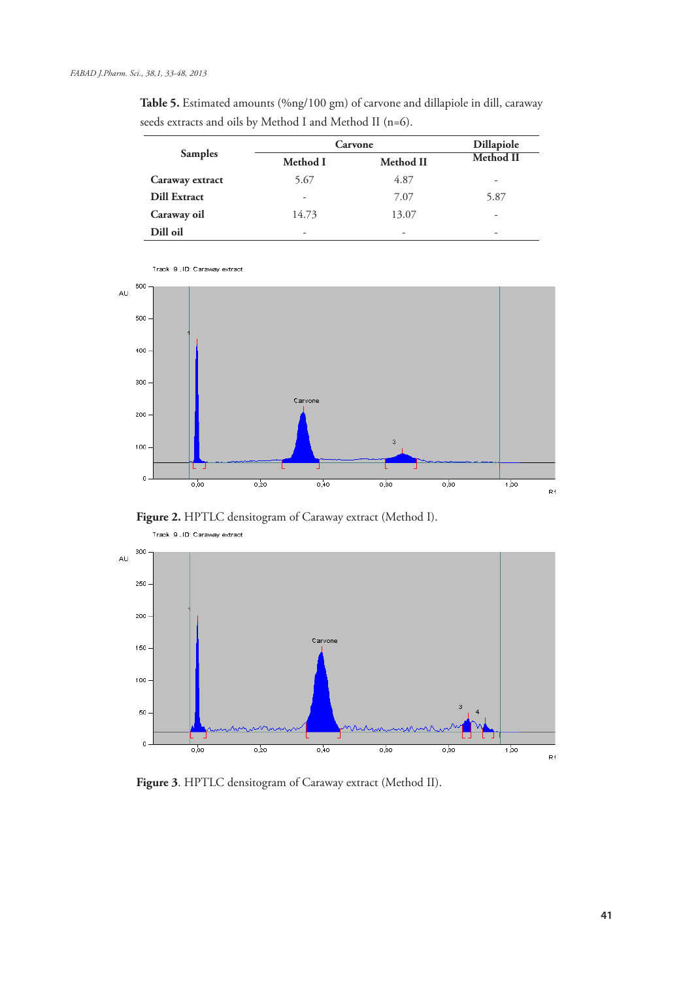| <b>Table 5.</b> Estimated amounts (%ng/100 gm) of carvone and dillapiole in dill, caraway |  |  |
|-------------------------------------------------------------------------------------------|--|--|
| seeds extracts and oils by Method I and Method II (n=6).                                  |  |  |

|                     | Carvone  | Dillapiole       |                          |
|---------------------|----------|------------------|--------------------------|
| <b>Samples</b>      | Method I | <b>Method II</b> | <b>Method II</b>         |
| Caraway extract     | 5.67     | 4.87             | $\overline{\phantom{m}}$ |
| <b>Dill Extract</b> | ۰        | 7.07             | 5.87                     |
| Caraway oil         | 14.73    | 13.07            | -                        |
| Dill oil            | ۰        | ۰                | ٠                        |



Track 9, ID: Caraway extract

Figure 2. HPTLC densitogram of Caraway extract (Method I).



 **Figure 3**. HPTLC densitogram of Caraway extract (Method II).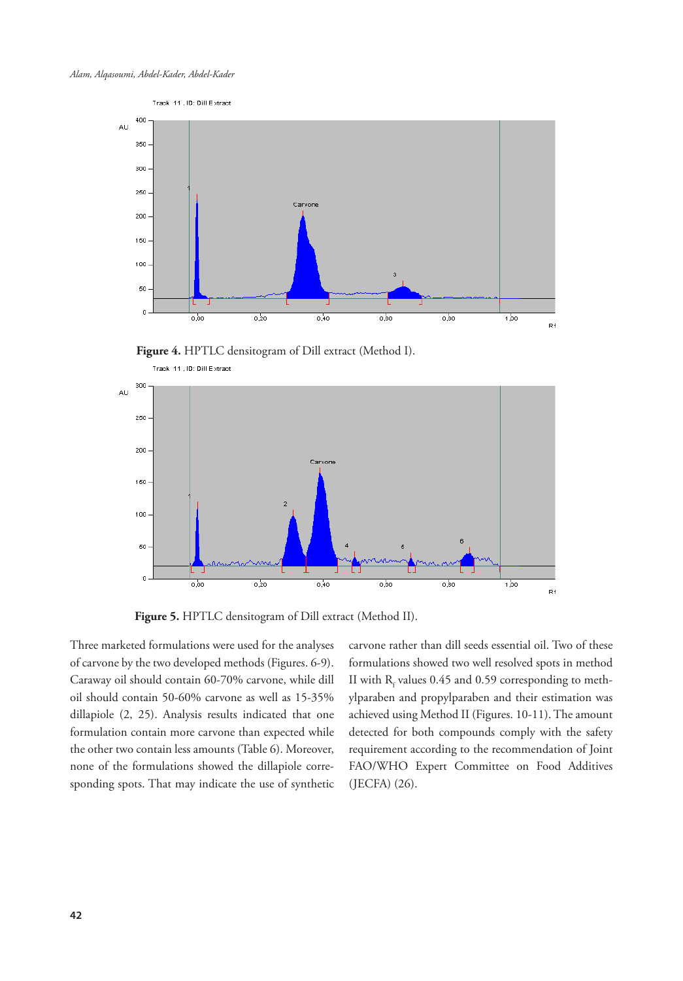

 **Figure 4.** HPTLC densitogram of Dill extract (Method I).



 **Figure 5.** HPTLC densitogram of Dill extract (Method II).

Three marketed formulations were used for the analyses of carvone by the two developed methods (Figures. 6-9). Caraway oil should contain 60-70% carvone, while dill oil should contain 50-60% carvone as well as 15-35% dillapiole (2, 25). Analysis results indicated that one formulation contain more carvone than expected while the other two contain less amounts (Table 6). Moreover, none of the formulations showed the dillapiole corresponding spots. That may indicate the use of synthetic carvone rather than dill seeds essential oil. Two of these formulations showed two well resolved spots in method II with  $R_f$  values 0.45 and 0.59 corresponding to methylparaben and propylparaben and their estimation was achieved using Method II (Figures. 10-11). The amount detected for both compounds comply with the safety requirement according to the recommendation of Joint FAO/WHO Expert Committee on Food Additives (JECFA) (26).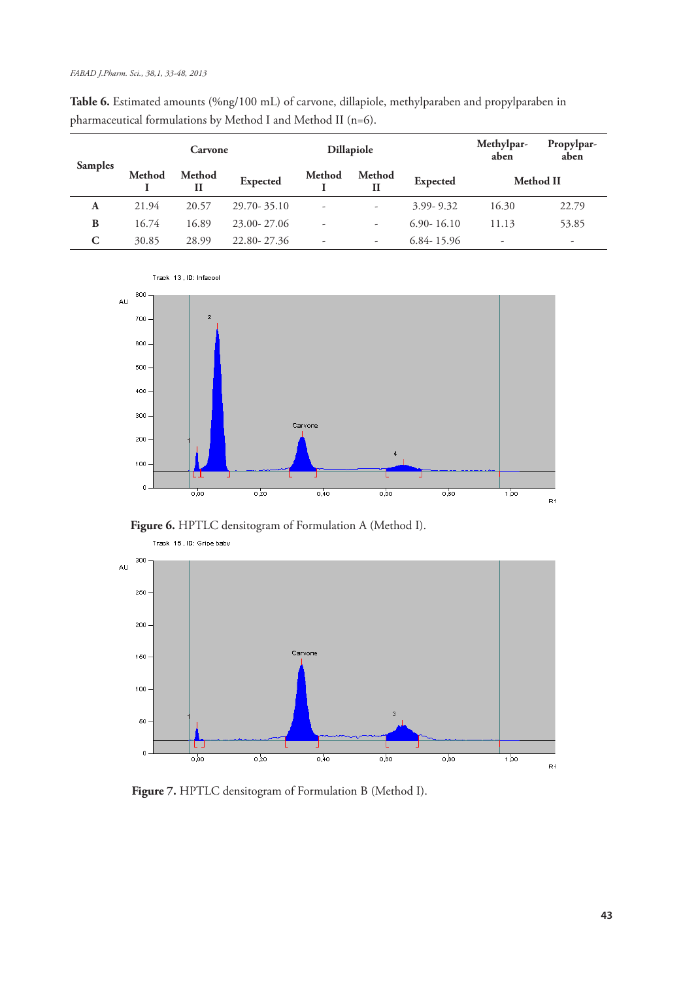|                | <b>Dillapiole</b><br>Carvone |             |                 |        | Methylpar-<br>aben       | Propylpar-<br>aben    |       |       |
|----------------|------------------------------|-------------|-----------------|--------|--------------------------|-----------------------|-------|-------|
| <b>Samples</b> | Method                       | Method<br>П | <b>Expected</b> | Method | <b>Method</b><br>Н       | Method II<br>Expected |       |       |
| A              | 21.94                        | 20.57       | 29.70 - 35.10   | ٠      | ۰                        | $3.99 - 9.32$         | 16.30 | 22.79 |
| B              | 16.74                        | 16.89       | 23.00-27.06     | ۰      | $\overline{\phantom{a}}$ | $6.90 - 16.10$        | 11.13 | 53.85 |
| C              | 30.85                        | 28.99       | 22.80-27.36     | ٠      | -                        | $6.84 - 15.96$        | -     | ۰     |

**Table 6.** Estimated amounts (%ng/100 mL) of carvone, dillapiole, methylparaben and propylparaben in pharmaceutical formulations by Method I and Method II (n=6).



 **Figure 6.** HPTLC densitogram of Formulation A (Method I).



 **Figure 7.** HPTLC densitogram of Formulation B (Method I).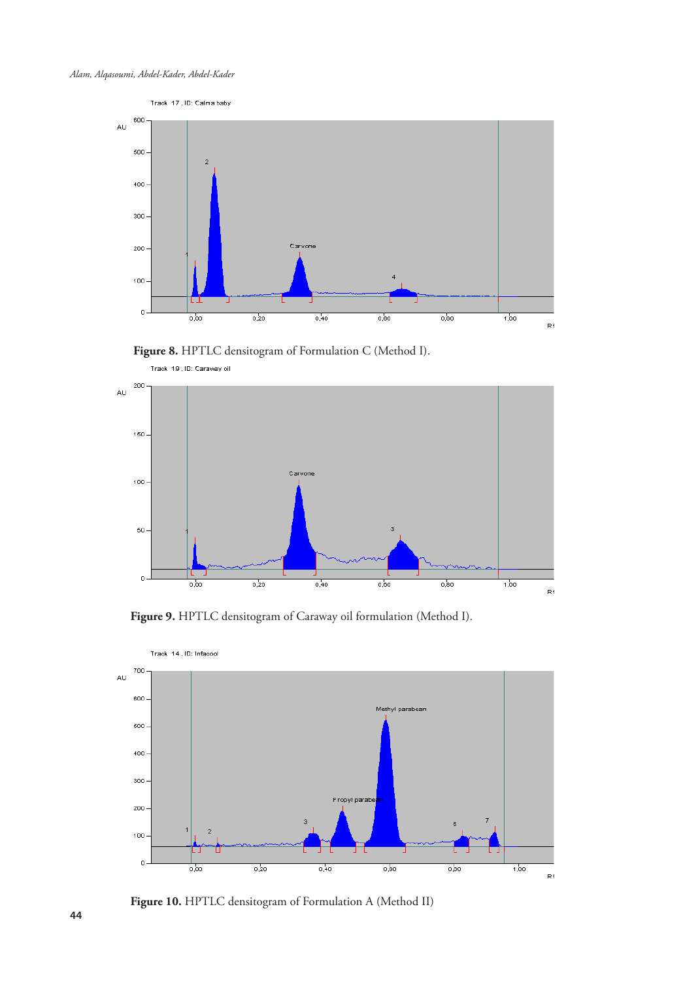

 **Figure 8.** HPTLC densitogram of Formulation C (Method I).



 **Figure 9.** HPTLC densitogram of Caraway oil formulation (Method I).



 **Figure 10.** HPTLC densitogram of Formulation A (Method II)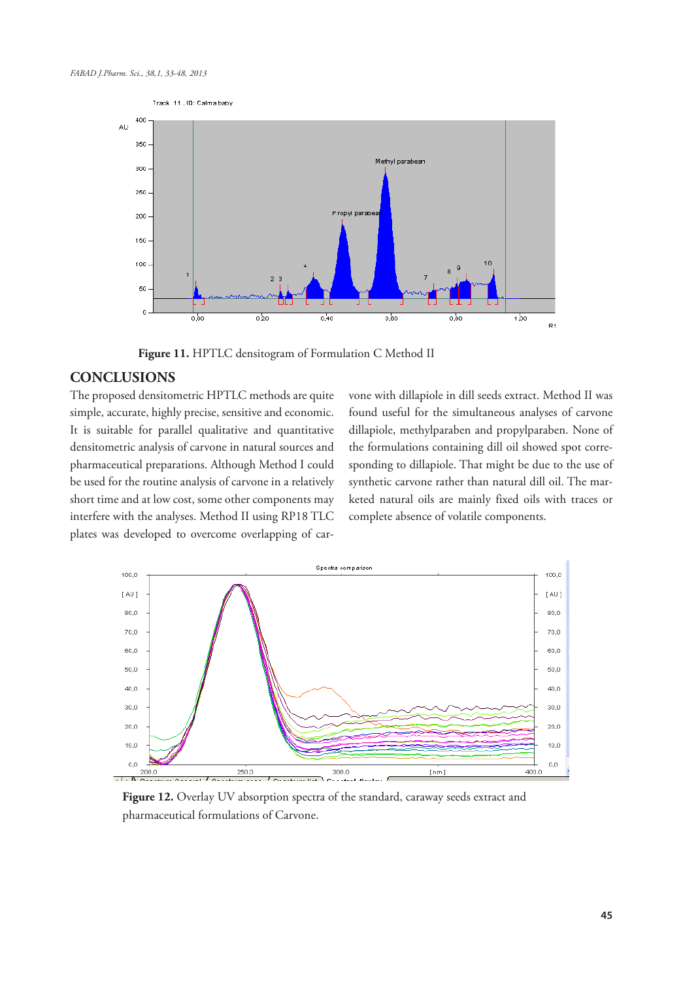

 **Figure 11.** HPTLC densitogram of Formulation C Method II

## **CONCLUSIONS**

The proposed densitometric HPTLC methods are quite simple, accurate, highly precise, sensitive and economic. It is suitable for parallel qualitative and quantitative densitometric analysis of carvone in natural sources and pharmaceutical preparations. Although Method I could be used for the routine analysis of carvone in a relatively short time and at low cost, some other components may interfere with the analyses. Method II using RP18 TLC plates was developed to overcome overlapping of carvone with dillapiole in dill seeds extract. Method II was found useful for the simultaneous analyses of carvone dillapiole, methylparaben and propylparaben. None of the formulations containing dill oil showed spot corresponding to dillapiole. That might be due to the use of synthetic carvone rather than natural dill oil. The marketed natural oils are mainly fixed oils with traces or complete absence of volatile components.



**Figure 12.** Overlay UV absorption spectra of the standard, caraway seeds extract and pharmaceutical formulations of Carvone.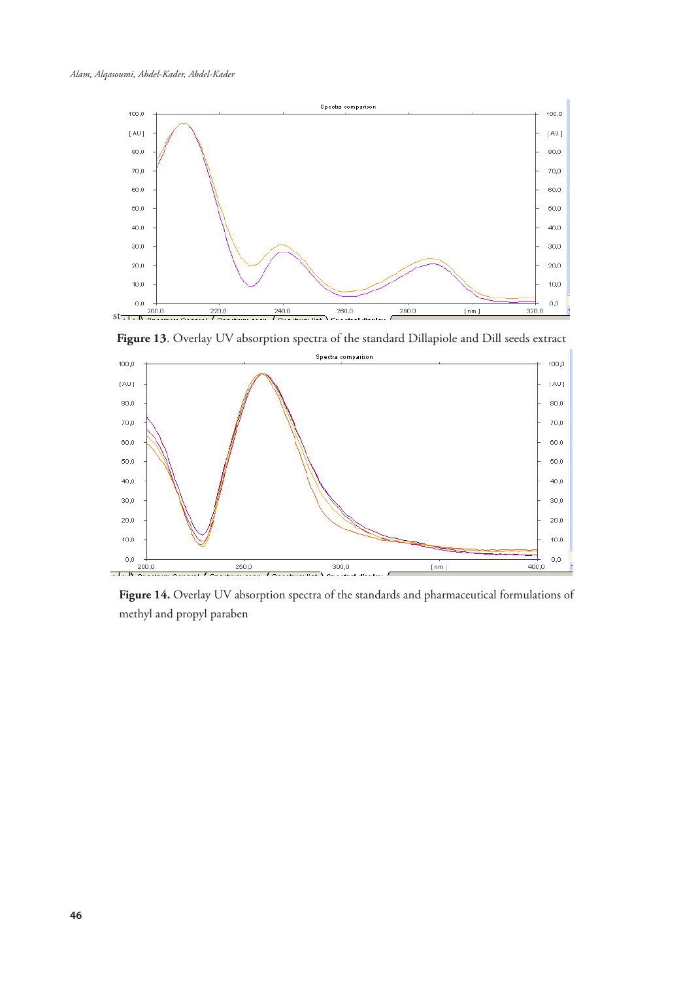

**Figure 13**. Overlay UV absorption spectra of the standard Dillapiole and Dill seeds extract



**Figure 14.** Overlay UV absorption spectra of the standards and pharmaceutical formulations of methyl and propyl paraben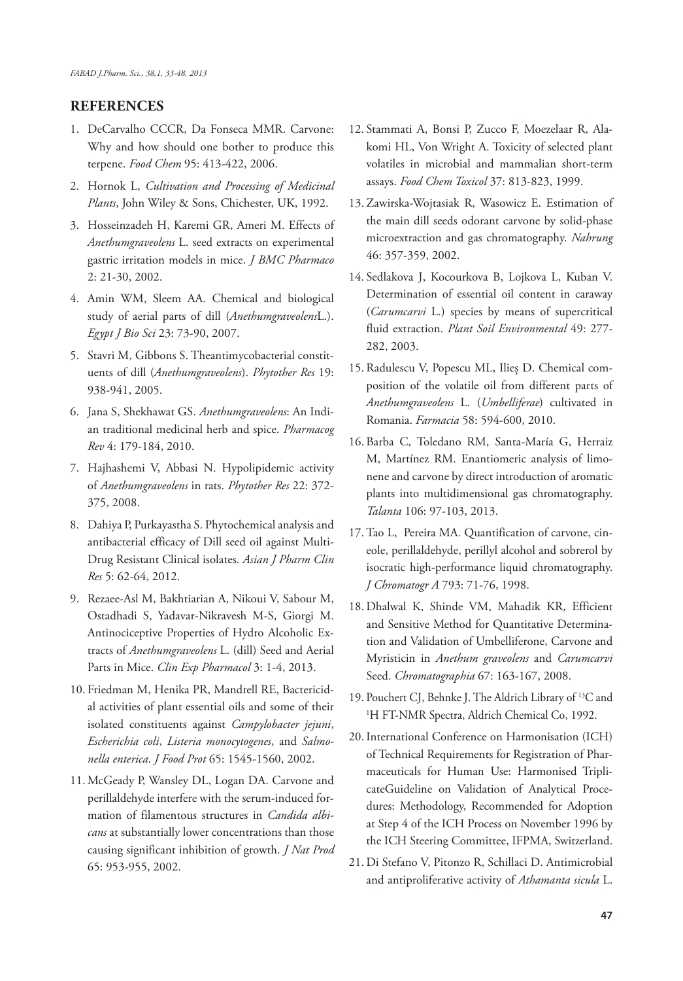## **REFERENCES**

- 1. DeCarvalho CCCR, Da Fonseca MMR. Carvone: Why and how should one bother to produce this terpene. *Food Chem* 95: 413-422, 2006.
- 2. Hornok L, *Cultivation and Processing of Medicinal Plants*, John Wiley & Sons, Chichester, UK, 1992.
- 3. Hosseinzadeh H, Karemi GR, Ameri M. Effects of *Anethumgraveolens* L. seed extracts on experimental gastric irritation models in mice. *J BMC Pharmaco* 2: 21-30, 2002.
- 4. Amin WM, Sleem AA. Chemical and biological study of aerial parts of dill (*Anethumgraveolens*L.). *Egypt J Bio Sci* 23: 73-90, 2007.
- 5. Stavri M, Gibbons S. Theantimycobacterial constituents of dill (*Anethumgraveolens*). *Phytother Res* 19: 938-941, 2005.
- 6. Jana S, Shekhawat GS. *Anethumgraveolens*: An Indian traditional medicinal herb and spice. *Pharmacog Rev* 4: 179-184, 2010.
- 7. Hajhashemi V, Abbasi N. Hypolipidemic activity of *Anethumgraveolens* in rats. *Phytother Res* 22: 372- 375, 2008.
- 8. Dahiya P, Purkayastha S. Phytochemical analysis and antibacterial efficacy of Dill seed oil against Multi-Drug Resistant Clinical isolates. *Asian J Pharm Clin Res* 5: 62-64, 2012.
- 9. Rezaee-Asl M, Bakhtiarian A, Nikoui V, Sabour M, Ostadhadi S, Yadavar-Nikravesh M-S, Giorgi M. Antinociceptive Properties of Hydro Alcoholic Extracts of *Anethumgraveolens* L. (dill) Seed and Aerial Parts in Mice. *Clin Exp Pharmacol* 3: 1-4, 2013.
- 10. Friedman M, Henika PR, Mandrell RE, Bactericidal activities of plant essential oils and some of their isolated constituents against *Campylobacter jejuni*, *Escherichia coli*, *Listeria monocytogenes*, and *Salmonella enterica*. *J Food Prot* 65: 1545-1560, 2002.
- 11. McGeady P, Wansley DL, Logan DA. Carvone and perillaldehyde interfere with the serum-induced formation of filamentous structures in *Candida albicans* at substantially lower concentrations than those causing significant inhibition of growth. *J Nat Prod* 65: 953-955, 2002.
- 12. Stammati A, Bonsi P, Zucco F, Moezelaar R, Alakomi HL, Von Wright A. Toxicity of selected plant volatiles in microbial and mammalian short-term assays. *Food Chem Toxicol* 37: 813-823, 1999.
- 13. Zawirska-Wojtasiak R, Wasowicz E. Estimation of the main dill seeds odorant carvone by solid-phase microextraction and gas chromatography. *Nahrung* 46: 357-359, 2002.
- 14. Sedlakova J, Kocourkova B, Lojkova L, Kuban V. Determination of essential oil content in caraway (*Carumcarvi* L.) species by means of supercritical fluid extraction. *Plant Soil Environmental* 49: 277- 282, 2003.
- 15. Radulescu V, Popescu ML, Ilieș D. Chemical composition of the volatile oil from different parts of *Anethumgraveolens* L. (*Umbelliferae*) cultivated in Romania. *Farmacia* 58: 594-600, 2010.
- 16. Barba C, Toledano RM, Santa-María G, Herraiz M, Martínez RM. Enantiomeric analysis of limonene and carvone by direct introduction of aromatic plants into multidimensional gas chromatography. *Talanta* 106: 97-103, 2013.
- 17. Tao L, Pereira MA. Quantification of carvone, cineole, perillaldehyde, perillyl alcohol and sobrerol by isocratic high-performance liquid chromatography. *J Chromatogr A* 793: 71-76, 1998.
- 18. Dhalwal K, Shinde VM, Mahadik KR, Efficient and Sensitive Method for Quantitative Determination and Validation of Umbelliferone, Carvone and Myristicin in *Anethum graveolens* and *Carumcarvi*  Seed. *Chromatographia* 67: 163-167, 2008.
- 19. Pouchert CJ, Behnke J. The Aldrich Library of 13C and 1 H FT-NMR Spectra, Aldrich Chemical Co, 1992.
- 20.International Conference on Harmonisation (ICH) of Technical Requirements for Registration of Pharmaceuticals for Human Use: Harmonised TriplicateGuideline on Validation of Analytical Procedures: Methodology, Recommended for Adoption at Step 4 of the ICH Process on November 1996 by the ICH Steering Committee, IFPMA, Switzerland.
- 21. Di Stefano V, Pitonzo R, Schillaci D. Antimicrobial and antiproliferative activity of *Athamanta sicula* L.